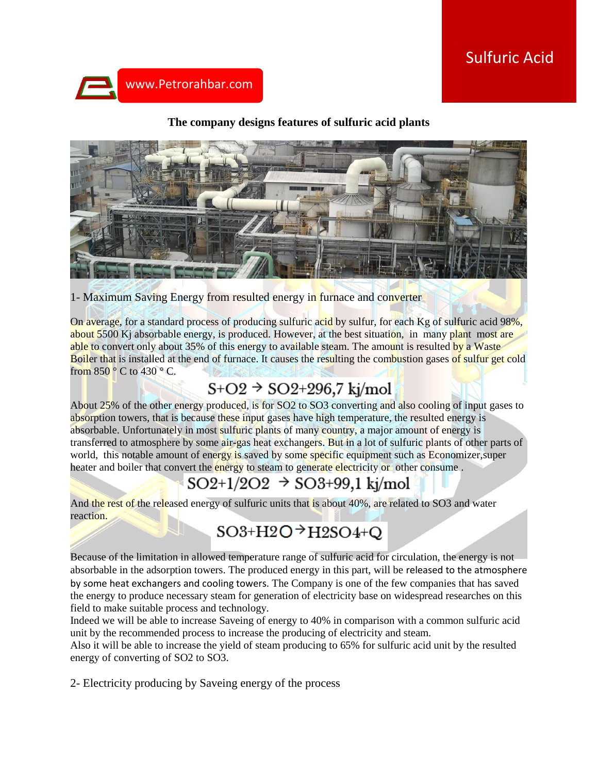# Sulfuric Acid



#### **The company designs features of sulfuric acid plants**



### 1- Maximum Saving Energy from resulted energy in furnace and converter

On average, for a standard process of producing sulfuric acid by sulfur, for each Kg of sulfuric acid 98%, about 5500 Kj absorbable energy, is produced. However, at the best situation, in many plant most are able to convert only about 35% of this energy to available steam. The amount is resulted by a Waste Boiler that is installed at the end of furnace. It causes the resulting the combustion gases of sulfur get cold from  $850^{\circ}$  C to  $430^{\circ}$  C.

## $S+O2 \rightarrow SO2+296,7$  kj/mol

About 25% of the other energy produced, is for SO2 to SO3 converting and also cooling of input gases to absorption towers, that is because these input gases have high temperature, the resulted energy is absorbable. Unfortunately in most sulfuric plants of many country, a major amount of energy is transferred to atmosphere by some air-gas heat exchangers. But in a lot of sulfuric plants of other parts of world, this notable amount of energy is saved by some specific equipment such as Economizer, super heater and boiler that convert the energy to steam to generate electricity or other consume.

# $SO2+1/2O2 \rightarrow SO3+99,1$  kj/mol

And the rest of the released energy of sulfuric units that is about 40%, are related to SO3 and water reaction.

# $SO3+H2O^+H2SO4+Q$

Because of the limitation in allowed temperature range of sulfuric acid for circulation, the energy is not absorbable in the adsorption towers. The produced energy in this part, will be released to the atmosphere by some heat exchangers and cooling towers. The Company is one of the few companies that has saved the energy to produce necessary steam for generation of electricity base on widespread researches on this field to make suitable process and technology.

Indeed we will be able to increase Saveing of energy to 40% in comparison with a common sulfuric acid unit by the recommended process to increase the producing of electricity and steam.

Also it will be able to increase the yield of steam producing to 65% for sulfuric acid unit by the resulted energy of converting of SO2 to SO3.

2- Electricity producing by Saveing energy of the process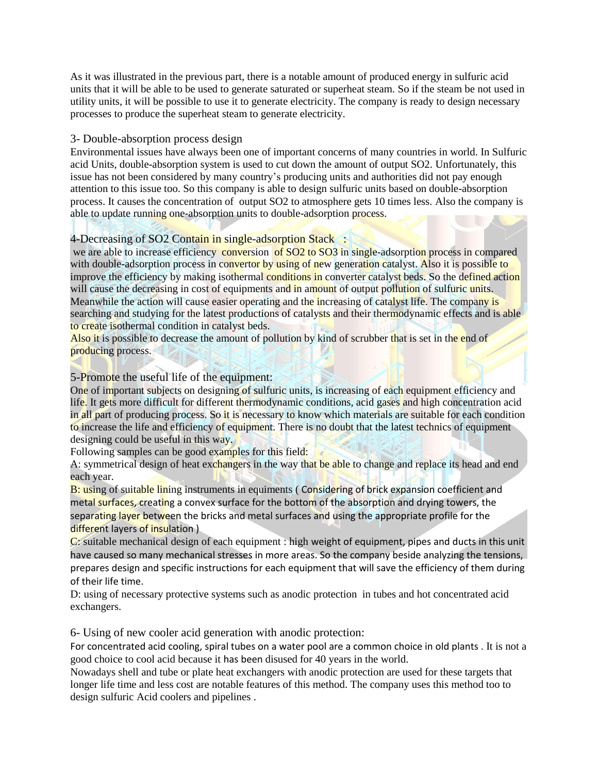As it was illustrated in the previous part, there is a notable amount of produced energy in sulfuric acid units that it will be able to be used to generate saturated or superheat steam. So if the steam be not used in utility units, it will be possible to use it to generate electricity. The company is ready to design necessary processes to produce the superheat steam to generate electricity.

#### 3- Double-absorption process design

Environmental issues have always been one of important concerns of many countries in world. In Sulfuric acid Units, double-absorption system is used to cut down the amount of output SO2. Unfortunately, this issue has not been considered by many country's producing units and authorities did not pay enough attention to this issue too. So this company is able to design sulfuric units based on double-absorption process. It causes the concentration of output SO2 to atmosphere gets 10 times less. Also the company is able to update running one-absorption units to double-adsorption process.

### 4-Decreasing of SO2 Contain in single-adsorption Stack :

we are able to increase efficiency conversion of SO2 to SO3 in single-adsorption process in compared with double-adsorption process in convertor by using of new generation catalyst. Also it is possible to improve the efficiency by making isothermal conditions in converter catalyst beds. So the defined action will cause the decreasing in cost of equipments and in amount of output pollution of sulfuric units. Meanwhile the action will cause easier operating and the increasing of catalyst life. The company is searching and studying for the latest productions of catalysts and their thermodynamic effects and is able to create isothermal condition in catalyst beds.

Also it is possible to decrease the amount of pollution by kind of scrubber that is set in the end of producing process.

### 5-Promote the useful life of the equipment:

One of important subjects on designing of sulfuric units, is increasing of each equipment efficiency and life. It gets more difficult for different thermodynamic conditions, acid gases and high concentration acid in all part of producing process. So it is necessary to know which materials are suitable for each condition to increase the life and efficiency of equipment. There is no doubt that the latest technics of equipment designing could be useful in this way.

Following samples can be good examples for this field:

A: symmetrical design of heat exchangers in the way that be able to change and replace its head and end each year.

B: using of suitable lining instruments in equiments (Considering of brick expansion coefficient and metal surfaces, creating a convex surface for the bottom of the absorption and drying towers, the separating layer between the bricks and metal surfaces and using the appropriate profile for the different layers of insulation )

C: suitable mechanical design of each equipment : high weight of equipment, pipes and ducts in this unit have caused so many mechanical stresses in more areas. So the company beside analyzing the tensions, prepares design and specific instructions for each equipment that will save the efficiency of them during of their life time.

D: using of necessary protective systems such as anodic protection in tubes and hot concentrated acid exchangers.

6- Using of new cooler acid generation with anodic protection:

For concentrated acid cooling, spiral tubes on a water pool are a common choice in old plants . It is not a good choice to cool acid because it has been disused for 40 years in the world.

Nowadays shell and tube or plate heat exchangers with anodic protection are used for these targets that longer life time and less cost are notable features of this method. The company uses this method too to design sulfuric Acid coolers and pipelines .